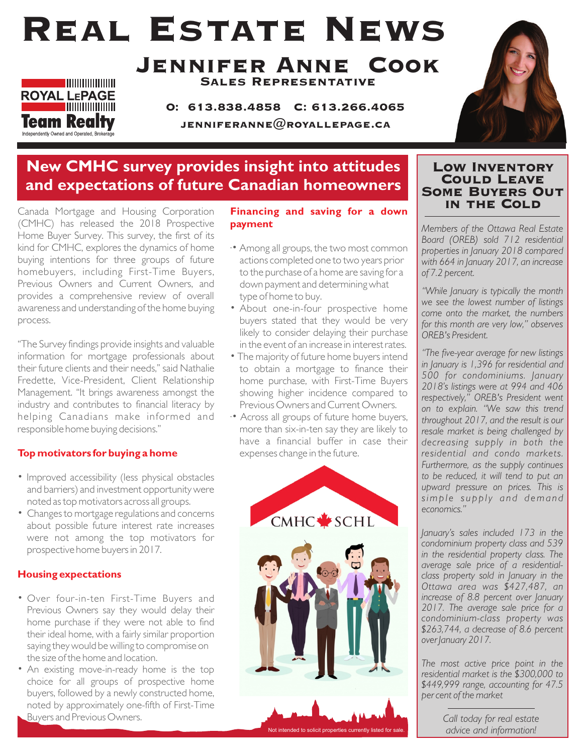# Real Estate News



#### Jennifer Anne Cook Sales Representative

O: 613.838.4858 C: 613.266.4065 JENNIFERANNE $@$ ROYALLEPAGE.CA



### **New CMHC survey provides insight into attitudes and expectations of future Canadian homeowners**

Canada Mortgage and Housing Corporation (CMHC) has released the 2018 Prospective Home Buyer Survey. This survey, the first of its kind for CMHC, explores the dynamics of home buying intentions for three groups of future homebuyers, including First-Time Buyers, Previous Owners and Current Owners, and provides a comprehensive review of overall awareness and understanding of the home buying process.

"The Survey findings provide insights and valuable information for mortgage professionals about their future clients and their needs," said Nathalie Fredette, Vice-President, Client Relationship Management. "It brings awareness amongst the industry and contributes to financial literacy by helping Canadians make informed and responsible home buying decisions."

#### **Top motivators for buying a home**

- Improved accessibility (less physical obstacles and barriers) and investment opportunity were noted as top motivators across all groups.
- Changes to mortgage regulations and concerns about possible future interest rate increases were not among the top motivators for prospective home buyers in 2017.

#### **Housing expectations**

- Over four-in-ten First-Time Buyers and Previous Owners say they would delay their home purchase if they were not able to find their ideal home, with a fairly similar proportion saying they would be willing to compromise on the size of the home and location.
- An existing move-in-ready home is the top choice for all groups of prospective home buyers, followed by a newly constructed home, noted by approximately one-fifth of First-Time Buyers and Previous Owners.

**Financing and saving for a down payment**

- ·• Among all groups, the two most common actions completed one to two years prior to the purchase of a home are saving for a down payment and determining what type of home to buy.
- About one-in-four prospective home buyers stated that they would be very likely to consider delaying their purchase in the event of an increase in interest rates.
- The majority of future home buyers intend to obtain a mortgage to finance their home purchase, with First-Time Buyers showing higher incidence compared to Previous Owners and Current Owners.
- ·• Across all groups of future home buyers, more than six-in-ten say they are likely to have a financial buffer in case their expenses change in the future.



#### Low Inventory Could Leave Some Buyers Out in the Cold

*Members of the Ottawa Real Estate Board (OREB) sold 712 residential properties in January 2018 compared with 664 in January 2017, an increase of 7.2 percent.* 

*"While January is typically the month we see the lowest number of listings come onto the market, the numbers for this month are very low," observes OREB's President.*

*"The five-year average for new listings in January is 1,396 for residential and 500 for condominiums. January 2018's listings were at 994 and 406 respectively," OREB's President went on to explain. "We saw this trend throughout 2017, and the result is our resale market is being challenged by decreasing supply in both the residential and condo markets. Furthermore, as the supply continues to be reduced, it will tend to put an upward pressure on prices. This is simp l e s u p p ly a n d d ema n d economics."*

*January's sales included 173 in the condominium property class and 539 in the residential property class. The average sale price of a residentialclass property sold in January in the Ottawa area was \$427,487, an increase of 8.8 percent over January 2017. The average sale price for a condominium-class property was \$263,744, a decrease of 8.6 percent over January 2017.* 

*The most active price point in the residential market is the \$300,000 to \$449,999 range, accounting for 47.5 per cent of the market*

> *Call today for real estate advice and information!*